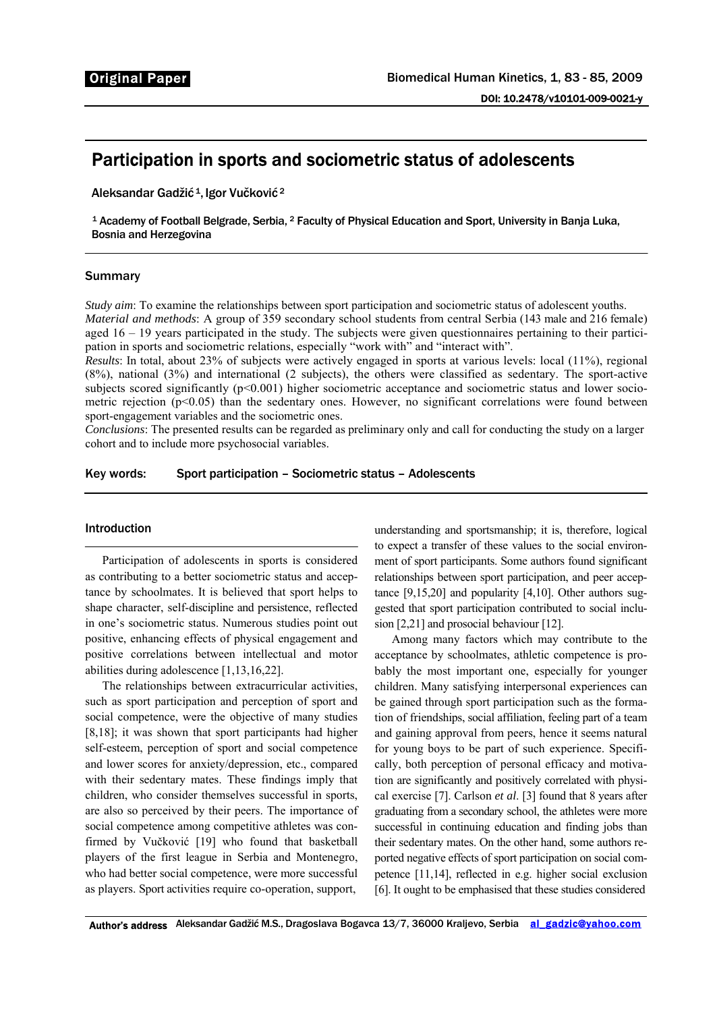# Participation in sports and sociometric status of adolescents

Aleksandar Gadžić<sup>1</sup>, Igor Vučković<sup>2</sup>

1 Academy of Football Belgrade, Serbia, 2 Faculty of Physical Education and Sport, University in Banja Luka, Bosnia and Herzegovina

# Summary

*Study aim*: To examine the relationships between sport participation and sociometric status of adolescent youths. *Material and methods*: A group of 359 secondary school students from central Serbia (143 male and 216 female) aged 16 – 19 years participated in the study. The subjects were given questionnaires pertaining to their participation in sports and sociometric relations, especially "work with" and "interact with".

*Results*: In total, about 23% of subjects were actively engaged in sports at various levels: local (11%), regional (8%), national (3%) and international (2 subjects), the others were classified as sedentary. The sport-active subjects scored significantly (p<0.001) higher sociometric acceptance and sociometric status and lower sociometric rejection  $(p<0.05)$  than the sedentary ones. However, no significant correlations were found between sport-engagement variables and the sociometric ones.

*Conclusions*: The presented results can be regarded as preliminary only and call for conducting the study on a larger cohort and to include more psychosocial variables.

Key words: Sport participation – Sociometric status – Adolescents

## Introduction

Participation of adolescents in sports is considered as contributing to a better sociometric status and acceptance by schoolmates. It is believed that sport helps to shape character, self-discipline and persistence, reflected in one's sociometric status. Numerous studies point out positive, enhancing effects of physical engagement and positive correlations between intellectual and motor abilities during adolescence [1,13,16,22].

The relationships between extracurricular activities, such as sport participation and perception of sport and social competence, were the objective of many studies [8,18]; it was shown that sport participants had higher self-esteem, perception of sport and social competence and lower scores for anxiety/depression, etc., compared with their sedentary mates. These findings imply that children, who consider themselves successful in sports, are also so perceived by their peers. The importance of social competence among competitive athletes was confirmed by Vučković [19] who found that basketball players of the first league in Serbia and Montenegro, who had better social competence, were more successful as players. Sport activities require co-operation, support,

understanding and sportsmanship; it is, therefore, logical to expect a transfer of these values to the social environment of sport participants. Some authors found significant relationships between sport participation, and peer acceptance [9,15,20] and popularity [4,10]. Other authors suggested that sport participation contributed to social inclusion [2,21] and prosocial behaviour [12].

Among many factors which may contribute to the acceptance by schoolmates, athletic competence is probably the most important one, especially for younger children. Many satisfying interpersonal experiences can be gained through sport participation such as the formation of friendships, social affiliation, feeling part of a team and gaining approval from peers, hence it seems natural for young boys to be part of such experience. Specifically, both perception of personal efficacy and motivation are significantly and positively correlated with physical exercise [7]. Carlson *et al*. [3] found that 8 years after graduating from a secondary school, the athletes were more successful in continuing education and finding jobs than their sedentary mates. On the other hand, some authors reported negative effects of sport participation on social competence [11,14], reflected in e.g. higher social exclusion [6]. It ought to be emphasised that these studies considered

Author's address Aleksandar Gadžić M.S., Dragoslava Bogavca 13/7, 36000 Kraljevo, Serbia al gadzic@yahoo.com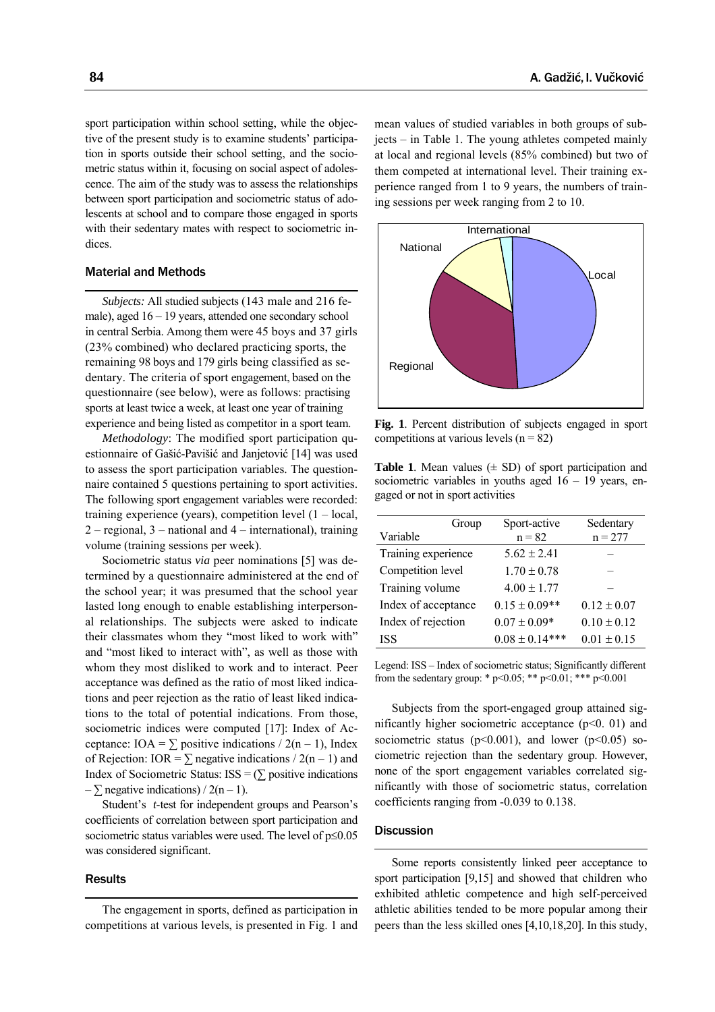sport participation within school setting, while the objective of the present study is to examine students' participation in sports outside their school setting, and the sociometric status within it, focusing on social aspect of adolescence. The aim of the study was to assess the relationships between sport participation and sociometric status of adolescents at school and to compare those engaged in sports with their sedentary mates with respect to sociometric indices.

# Material and Methods

*Subjects:* All studied subjects (143 male and 216 female), aged 16 – 19 years, attended one secondary school in central Serbia. Among them were 45 boys and 37 girls (23% combined) who declared practicing sports, the remaining 98 boys and 179 girls being classified as sedentary. The criteria of sport engagement, based on the questionnaire (see below), were as follows: practising sports at least twice a week, at least one year of training experience and being listed as competitor in a sport team.

*Methodology*: The modified sport participation questionnaire of Gašić-Pavišić and Janjetović [14] was used to assess the sport participation variables. The questionnaire contained 5 questions pertaining to sport activities. The following sport engagement variables were recorded: training experience (years), competition level  $(1 - local,$ 2 – regional, 3 – national and 4 – international), training volume (training sessions per week).

Sociometric status *via* peer nominations [5] was determined by a questionnaire administered at the end of the school year; it was presumed that the school year lasted long enough to enable establishing interpersonal relationships. The subjects were asked to indicate their classmates whom they "most liked to work with" and "most liked to interact with", as well as those with whom they most disliked to work and to interact. Peer acceptance was defined as the ratio of most liked indications and peer rejection as the ratio of least liked indications to the total of potential indications. From those, sociometric indices were computed [17]: Index of Acceptance: IOA =  $\Sigma$  positive indications / 2(n – 1), Index of Rejection: IOR =  $\Sigma$  negative indications / 2(n – 1) and Index of Sociometric Status:  $ISS = (\sum \text{positive indications})$  $-\sum$  negative indications) / 2(n – 1).

Student's *t*-test for independent groups and Pearson's coefficients of correlation between sport participation and sociometric status variables were used. The level of p≤0.05 was considered significant.

#### **Results**

The engagement in sports, defined as participation in competitions at various levels, is presented in Fig. 1 and

mean values of studied variables in both groups of subjects – in Table 1. The young athletes competed mainly at local and regional levels (85% combined) but two of them competed at international level. Their training experience ranged from 1 to 9 years, the numbers of training sessions per week ranging from 2 to 10.



**Fig. 1**. Percent distribution of subjects engaged in sport competitions at various levels  $(n = 82)$ 

**Table 1**. Mean values  $(\pm SD)$  of sport participation and sociometric variables in youths aged  $16 - 19$  years, engaged or not in sport activities

| Group               | Sport-active       | Sedentary       |
|---------------------|--------------------|-----------------|
| Variable            | $n = 82$           | $n = 277$       |
| Training experience | $5.62 \pm 2.41$    |                 |
| Competition level   | $1.70 \pm 0.78$    |                 |
| Training volume     | $4.00 \pm 1.77$    |                 |
| Index of acceptance | $0.15 \pm 0.09**$  | $0.12 \pm 0.07$ |
| Index of rejection  | $0.07 \pm 0.09*$   | $0.10 \pm 0.12$ |
| <b>ISS</b>          | $0.08 \pm 0.14***$ | $0.01 \pm 0.15$ |

Legend: ISS – Index of sociometric status; Significantly different from the sedentary group: \*  $p \le 0.05$ ; \*\*  $p \le 0.01$ ; \*\*\*  $p \le 0.001$ 

Subjects from the sport-engaged group attained significantly higher sociometric acceptance  $(p<0. 01)$  and sociometric status ( $p<0.001$ ), and lower ( $p<0.05$ ) sociometric rejection than the sedentary group. However, none of the sport engagement variables correlated significantly with those of sociometric status, correlation coefficients ranging from -0.039 to 0.138.

## **Discussion**

Some reports consistently linked peer acceptance to sport participation [9,15] and showed that children who exhibited athletic competence and high self-perceived athletic abilities tended to be more popular among their peers than the less skilled ones [4,10,18,20]. In this study,